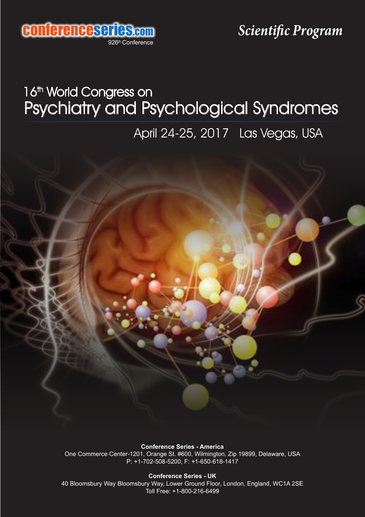

## Psychiatry and Psychological Syndromes 16<sup>th</sup> World Congress on

April 24-25, 2017 Las Vegas, USA

**Conference Series - America** One Commerce Center-1201, Orange St. #600, Wilmington, Zip 19899, Delaware, USA P: +1-702-508-5200, F: +1-650-618-1417

**Conference Series - UK**

40 Bloomsbury Way Bloomsbury Way, Lower Ground Floor, London, England, WC1A 2SE Toll Free: +1-800-216-6499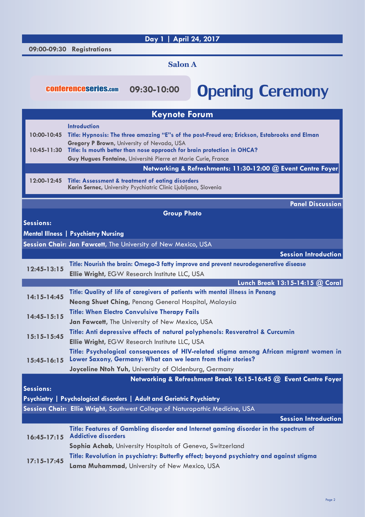## **Day 1 | April 24, 2017**

 **09:00-09:30 Registrations**

## **Salon A**

**09:30-10:00**

## conferenceseries.com 09:30-10:00 Opening Ceremony

| <b>Keynote Forum</b>           |                                                                                                                                                        |
|--------------------------------|--------------------------------------------------------------------------------------------------------------------------------------------------------|
|                                | <b>Introduction</b>                                                                                                                                    |
| 10:00-10:45                    | Title: Hypnosis: The three amazing "E"s of the post-Freud era; Erickson, Estabrooks and Elman                                                          |
| 10:45-11:30                    | Gregory P Brown, University of Nevada, USA                                                                                                             |
|                                | Title: Is mouth better than nose approach for brain protection in OHCA?<br>Guy Hugues Fontaine, Université Pierre et Marie Curie, France               |
|                                | Networking & Refreshments: 11:30-12:00 @ Event Centre Foyer                                                                                            |
|                                |                                                                                                                                                        |
| 12:00-12:45                    | <b>Title: Assessment &amp; treatment of eating disorders</b><br>Karin Sernec, University Psychiatric Clinic Ljubljana, Slovenia                        |
|                                |                                                                                                                                                        |
|                                | <b>Panel Discussion</b>                                                                                                                                |
|                                | <b>Group Photo</b>                                                                                                                                     |
| <b>Sessions:</b>               |                                                                                                                                                        |
|                                | <b>Mental Illness   Psychiatry Nursing</b>                                                                                                             |
|                                | Session Chair: Jan Fawcett, The University of New Mexico, USA                                                                                          |
|                                | <b>Session Introduction</b>                                                                                                                            |
| $12:45 - 13:15$                | Title: Nourish the brain: Omega-3 fatty improve and prevent neurodegenerative disease                                                                  |
|                                | Ellie Wright, EGW Research Institute LLC, USA                                                                                                          |
|                                | Lunch Break 13:15-14:15 @ Coral                                                                                                                        |
| $14:15 - 14:45$                | Title: Quality of life of caregivers of patients with mental illness in Penang                                                                         |
|                                | Neong Shuet Ching, Penang General Hospital, Malaysia                                                                                                   |
| $14:45 - 15:15$                | <b>Title: When Electro Convulsive Therapy Fails</b>                                                                                                    |
| $15:15-15:45$<br>$15:45-16:15$ | Jan Fawcett, The University of New Mexico, USA                                                                                                         |
|                                | Title: Anti depressive effects of natural polyphenols: Resveratrol & Curcumin                                                                          |
|                                | <b>Ellie Wright, EGW Research Institute LLC, USA</b>                                                                                                   |
|                                | Title: Psychological consequences of HIV-related stigma among African migrant women in<br>Lower Saxony, Germany: What can we learn from their stories? |
|                                | Joyceline Ntoh Yuh, University of Oldenburg, Germany                                                                                                   |
|                                | Networking & Refreshment Break 16:15-16:45 @ Event Centre Foyer                                                                                        |
| <b>Sessions:</b>               |                                                                                                                                                        |
|                                | Psychiatry   Psychological disorders   Adult and Geriatric Psychiatry                                                                                  |
|                                | Session Chair: Ellie Wright, Southwest College of Naturopathic Medicine, USA                                                                           |
|                                | <b>Session Introduction</b>                                                                                                                            |
| $16:45-17:15$                  | Title: Features of Gambling disorder and Internet gaming disorder in the spectrum of<br><b>Addictive disorders</b>                                     |
|                                | Sophia Achab, University Hospitals of Geneva, Switzerland                                                                                              |
| $17:15 - 17:45$                | Title: Revolution in psychiatry: Butterfly effect; beyond psychiatry and against stigma                                                                |
|                                | Lama Muhammad, University of New Mexico, USA                                                                                                           |